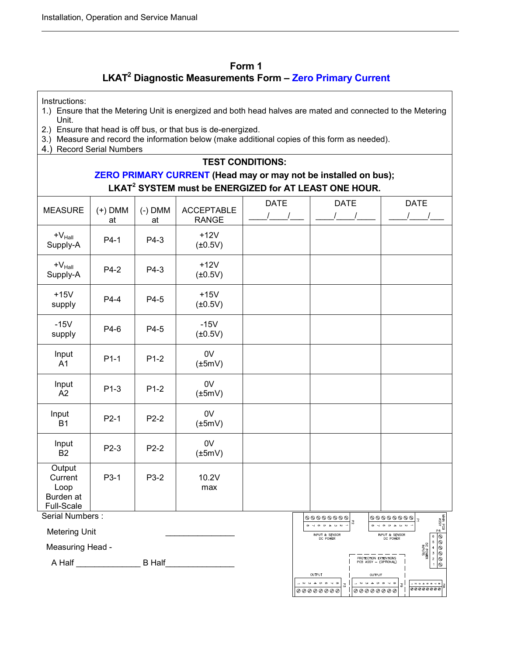## **Form 1 LKAT<sup>2</sup> Diagnostic Measurements Form – Zero Primary Current**

Instructions:

- 1.) Ensure that the Metering Unit is energized and both head halves are mated and connected to the Metering Unit.
- 2.) Ensure that head is off bus, or that bus is de-energized.
- 3.) Measure and record the information below (make additional copies of this form as needed).
- 4.) Record Serial Numbers

#### **TEST CONDITIONS:**

# **ZERO PRIMARY CURRENT (Head may or may not be installed on bus); LKAT<sup>2</sup> SYSTEM must be ENERGIZED for AT LEAST ONE HOUR.**

| <b>MEASURE</b>                                           | $(+)$ DMM<br>at | $(-)$ DMM<br>at | <b>ACCEPTABLE</b><br><b>RANGE</b> | <b>DATE</b> | <b>DATE</b>                                                        | <b>DATE</b><br>$\sqrt{ }$                                                         |
|----------------------------------------------------------|-----------------|-----------------|-----------------------------------|-------------|--------------------------------------------------------------------|-----------------------------------------------------------------------------------|
| $+V_{\text{Hall}}$<br>Supply-A                           | $P4-1$          | P4-3            | $+12V$<br>$(\pm 0.5V)$            |             |                                                                    |                                                                                   |
| $+V_{\text{Hall}}$<br>Supply-A                           | $P4-2$          | P4-3            | $+12V$<br>$(\pm 0.5V)$            |             |                                                                    |                                                                                   |
| $+15V$<br>supply                                         | $P4-4$          | P4-5            | $+15V$<br>$(\pm 0.5V)$            |             |                                                                    |                                                                                   |
| $-15V$<br>supply                                         | P4-6            | P4-5            | $-15V$<br>$(\pm 0.5V)$            |             |                                                                    |                                                                                   |
| Input<br>$\overline{A}1$                                 | $P1-1$          | $P1-2$          | 0V<br>$(\pm 5mV)$                 |             |                                                                    |                                                                                   |
| Input<br>$\overline{A2}$                                 | $P1-3$          | $P1-2$          | 0V<br>$(\pm 5mV)$                 |             |                                                                    |                                                                                   |
| Input<br>B1                                              | $P2-1$          | $P2-2$          | 0V<br>$(\pm 5mV)$                 |             |                                                                    |                                                                                   |
| Input<br><b>B2</b>                                       | $P2-3$          | $P2-2$          | 0V<br>$(\pm 5mV)$                 |             |                                                                    |                                                                                   |
| Output<br>Current<br>Loop<br>Burden at<br>Full-Scale     | P3-1            | P3-2            | 10.2V<br>max                      |             |                                                                    |                                                                                   |
| Serial Numbers:<br>$\circ\circ\circ\circ\circ\circ\circ$ |                 |                 |                                   |             |                                                                    | 00000000<br>$\overline{\mathbf{z}}$<br>$\infty$ v $\infty$ or $\infty$ v $\infty$ |
| <b>Metering Unit</b>                                     |                 |                 |                                   |             | 29<br>$\omega \sim \omega \sim 0.00$<br>INPUT & SENSOR<br>DC POWER | $\frac{1}{\sqrt{300}}\frac{1}{\sqrt{30}}$<br>INPUT & SENSOR<br>DC POWER           |
| Measuring Head -                                         |                 |                 |                                   |             |                                                                    | De PU<br>De PU<br>$\overline{4}$<br>$\circ$                                       |

A Half \_\_\_\_\_\_\_\_\_\_\_\_\_\_ B Half\_\_\_\_\_\_\_\_\_\_\_\_\_\_\_

| $\sim -$<br>m<br>Ch<br>s.<br>$\sigma$<br>$\sim$             | 72 | $\infty$<br>ന<br>œ                                                           | $\mathbf{v}$<br><b>CH</b><br>- |          | g≍<br>g<br>ු බි !<br>ප                                              |
|-------------------------------------------------------------|----|------------------------------------------------------------------------------|--------------------------------|----------|---------------------------------------------------------------------|
| <b>INPUT &amp; SENSOR</b><br>DC POWER                       |    | INPUT & SENSOR<br>DC POWER<br>PROTECTION EXTENTIONS<br>PCB ASSY - (OPTIONAL) |                                | DC POWER | 6<br>ଷ<br>5<br>⊗<br>$\overline{4}$<br>3<br>▧<br>$\overline{2}$<br>Q |
| OUTPUT<br>$\infty$<br>$\epsilon$<br>M<br>œ<br>귆<br>00000000 |    | OUTPUT<br>$\infty$<br>n<br>$\sigma$<br>00000000                              | $\overline{6}$                 | 00000000 | ęδ,                                                                 |